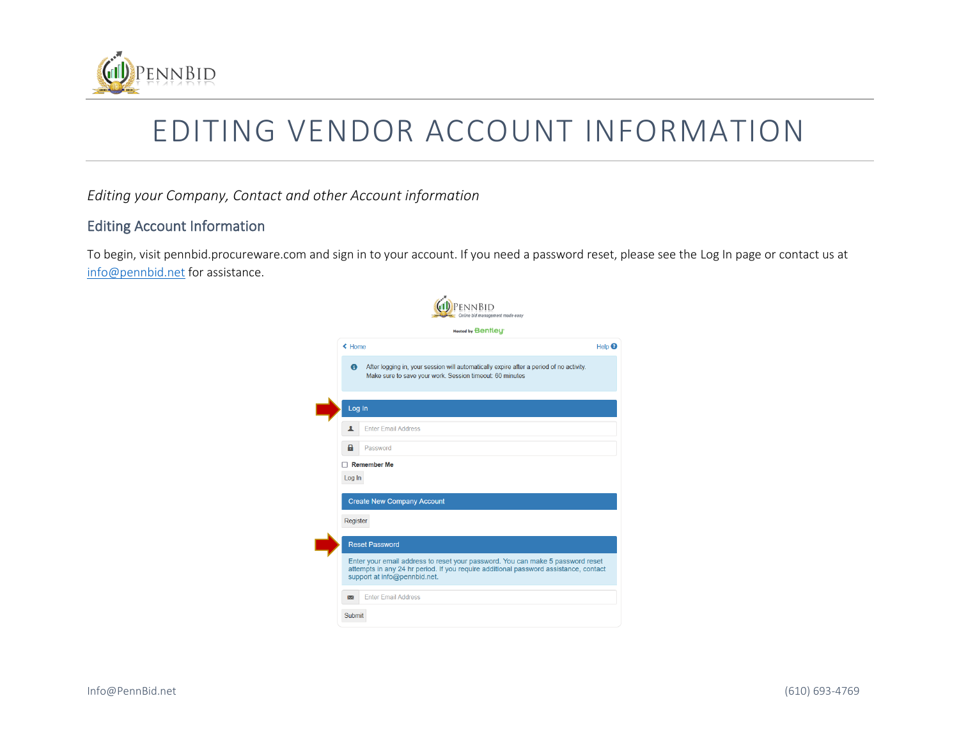

## EDITING VENDOR ACCOUNT INFORMATION

*Editing your Company, Contact and other Account information*

Г

Г

## Editing Account Information

To begin, visit pennbid.procureware.com and sign in to your account. If you need a password reset, please see the Log In page or contact us at [info@pennbid.net](mailto:info@pennbid.net) for assistance.

|                  | Hosted by Benfley                                                                                                                                                                                      |
|------------------|--------------------------------------------------------------------------------------------------------------------------------------------------------------------------------------------------------|
| $\triangle$ Home |                                                                                                                                                                                                        |
| $\bullet$        | After logging in, your session will automatically expire after a period of no activity.<br>Make sure to save your work. Session timeout: 60 minutes                                                    |
| Log In           |                                                                                                                                                                                                        |
| ┸                | <b>Enter Email Address</b>                                                                                                                                                                             |
| 8                | Password                                                                                                                                                                                               |
|                  |                                                                                                                                                                                                        |
|                  | Remember Me                                                                                                                                                                                            |
| Log In           |                                                                                                                                                                                                        |
|                  | <b>Create New Company Account</b>                                                                                                                                                                      |
| Register         |                                                                                                                                                                                                        |
|                  |                                                                                                                                                                                                        |
|                  | <b>Reset Password</b>                                                                                                                                                                                  |
|                  | Enter your email address to reset your password. You can make 5 password reset<br>attempts in any 24 hr period. If you require additional password assistance, contact<br>support at info@pennbid.net. |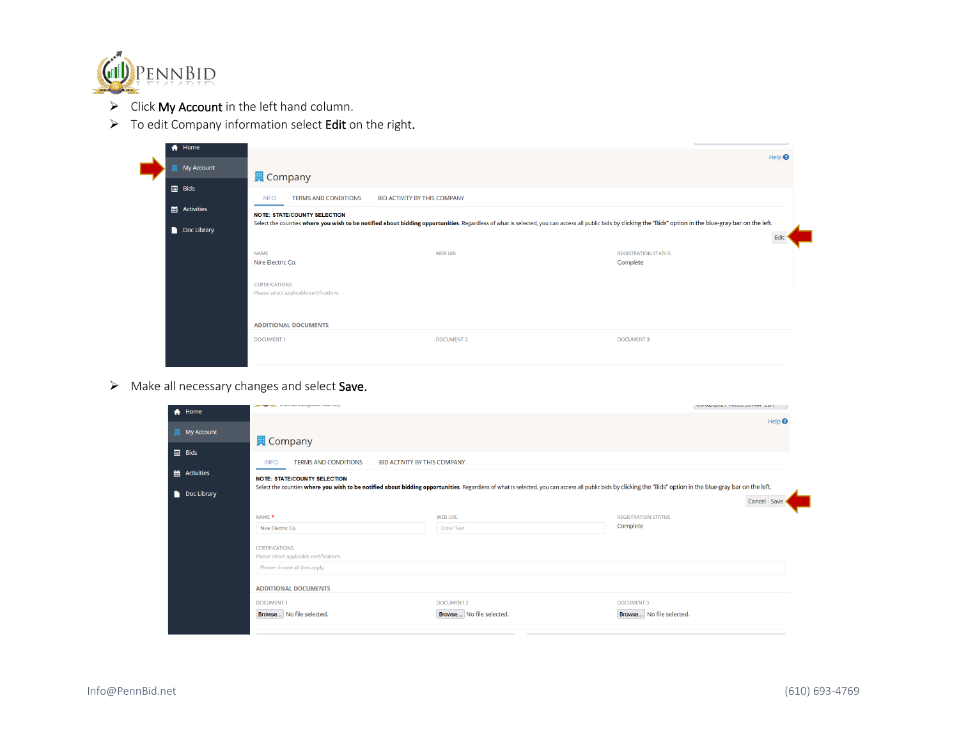

- ➢ Click My Account in the left hand column.
- ➢ To edit Company information select Edit on the right.

| ← Home      |                                                                   |                              |                                                                                                                                                                                                               |                              |
|-------------|-------------------------------------------------------------------|------------------------------|---------------------------------------------------------------------------------------------------------------------------------------------------------------------------------------------------------------|------------------------------|
|             |                                                                   |                              |                                                                                                                                                                                                               | Help <sup><sup>O</sup></sup> |
| My Account  |                                                                   |                              |                                                                                                                                                                                                               |                              |
| $\Box$ Bids | <b>■</b> Company                                                  |                              |                                                                                                                                                                                                               |                              |
|             | <b>TERMS AND CONDITIONS</b><br><b>INFO</b>                        | BID ACTIVITY BY THIS COMPANY |                                                                                                                                                                                                               |                              |
| Activities  | <b>NOTE: STATE/COUNTY SELECTION</b>                               |                              |                                                                                                                                                                                                               |                              |
|             |                                                                   |                              | Select the counties where you wish to be notified about bidding opportunities. Regardless of what is selected, you can access all public bids by clicking the "Bids" option in the blue-gray bar on the left. |                              |
| Doc Library |                                                                   |                              |                                                                                                                                                                                                               | Edit                         |
|             | <b>NAME</b>                                                       | <b>WEB URL</b>               | <b>REGISTRATION STATUS</b>                                                                                                                                                                                    |                              |
|             | Nire Electric Co.                                                 |                              | Complete                                                                                                                                                                                                      |                              |
|             |                                                                   |                              |                                                                                                                                                                                                               |                              |
|             | <b>CERTIFICATIONS</b><br>Please select applicable certifications. |                              |                                                                                                                                                                                                               |                              |
|             |                                                                   |                              |                                                                                                                                                                                                               |                              |
|             |                                                                   |                              |                                                                                                                                                                                                               |                              |
|             | <b>ADDITIONAL DOCUMENTS</b>                                       |                              |                                                                                                                                                                                                               |                              |
|             | <b>DOCUMENT1</b>                                                  | <b>DOCUMENT 2</b>            | <b>DOCUMENT 3</b>                                                                                                                                                                                             |                              |
|             |                                                                   |                              |                                                                                                                                                                                                               |                              |
|             |                                                                   |                              |                                                                                                                                                                                                               |                              |

➢ Make all necessary changes and select Save.

| <b>f</b> Home       |                                                                                                                                                                                                               |                              |                            | VUIVEILVET TVIJJIJJ MIT LEFT |
|---------------------|---------------------------------------------------------------------------------------------------------------------------------------------------------------------------------------------------------------|------------------------------|----------------------------|------------------------------|
|                     |                                                                                                                                                                                                               |                              |                            | Help <sup><sup>0</sup></sup> |
| <b>圓</b> My Account | <b>且</b> Company                                                                                                                                                                                              |                              |                            |                              |
| $\Box$ Bids         |                                                                                                                                                                                                               |                              |                            |                              |
|                     | <b>TERMS AND CONDITIONS</b><br><b>INFO</b>                                                                                                                                                                    | BID ACTIVITY BY THIS COMPANY |                            |                              |
| i Activities        | <b>NOTE: STATE/COUNTY SELECTION</b>                                                                                                                                                                           |                              |                            |                              |
| Doc Library         | Select the counties where you wish to be notified about bidding opportunities. Regardless of what is selected, you can access all public bids by clicking the "Bids" option in the blue-gray bar on the left. |                              |                            |                              |
|                     |                                                                                                                                                                                                               |                              | Cancel Save                |                              |
|                     | NAME *                                                                                                                                                                                                        | <b>WEB URL</b>               | <b>REGISTRATION STATUS</b> |                              |
|                     | Nire Electric Co.                                                                                                                                                                                             | <b>Enter Text</b>            | Complete                   |                              |
|                     | <b>CERTIFICATIONS</b>                                                                                                                                                                                         |                              |                            |                              |
|                     | Please select applicable certifications.                                                                                                                                                                      |                              |                            |                              |
|                     | Please choose all that apply                                                                                                                                                                                  |                              |                            |                              |
|                     | <b>ADDITIONAL DOCUMENTS</b>                                                                                                                                                                                   |                              |                            |                              |
|                     | <b>DOCUMENT1</b>                                                                                                                                                                                              | <b>DOCUMENT 2</b>            | <b>DOCUMENT 3</b>          |                              |
|                     | Browse No file selected.                                                                                                                                                                                      | Browse No file selected.     | Browse No file selected.   |                              |
|                     |                                                                                                                                                                                                               |                              |                            |                              |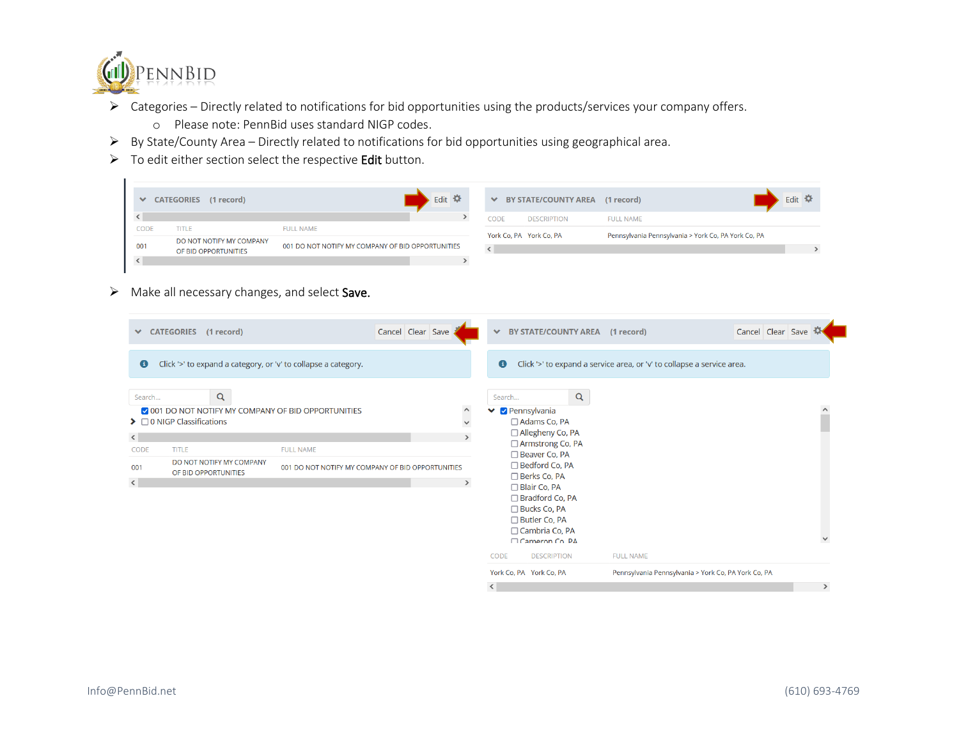

- ➢ Categories Directly related to notifications for bid opportunities using the products/services your company offers.
	- o Please note: PennBid uses standard NIGP codes.
- ➢ By State/County Area Directly related to notifications for bid opportunities using geographical area.
- ➢ To edit either section select the respective Edit button.

| $\checkmark$ | (1 record)<br><b>CATEGORIES</b> |                                                   | Edit $\ddot{\bullet}$ |      | ◆ BY STATE/COUNTY AREA (1 record) |                                                     | Edit $\mathbf{\Omega}$ |
|--------------|---------------------------------|---------------------------------------------------|-----------------------|------|-----------------------------------|-----------------------------------------------------|------------------------|
|              |                                 |                                                   |                       | CODE | <b>DESCRIPTION</b>                | <b>FULL NAME</b>                                    |                        |
| CODE         | <b>TITLE</b>                    | <b>FULL NAME</b>                                  |                       |      |                                   |                                                     |                        |
|              | DO NOT NOTIFY MY COMPANY        |                                                   |                       |      | York Co, PA York Co, PA           | Pennsylvania Pennsylvania > York Co, PA York Co, PA |                        |
| 001          | OF BID OPPORTUNITIES            | 001 DO NOT NOTIFY MY COMPANY OF BID OPPORTUNITIES |                       |      |                                   |                                                     |                        |
|              |                                 |                                                   |                       |      |                                   |                                                     |                        |
|              |                                 |                                                   |                       |      |                                   |                                                     |                        |

➢ Make all necessary changes, and select Save.

| $\checkmark$<br>$\bullet$          | CATEGORIES (1 record)<br>Click '>' to expand a category, or 'v' to collapse a category.                                  |                                                   | Cancel Clear Save | $\checkmark$<br>$\bullet$                                | BY STATE/COUNTY AREA (1 record)                                                                                                                                      |   | Click '>' to expand a service area, or 'v' to collapse a service area. | Cancel Clear Save                                   |               |
|------------------------------------|--------------------------------------------------------------------------------------------------------------------------|---------------------------------------------------|-------------------|----------------------------------------------------------|----------------------------------------------------------------------------------------------------------------------------------------------------------------------|---|------------------------------------------------------------------------|-----------------------------------------------------|---------------|
| Search<br>$\langle$<br><b>CODE</b> | Q<br>O01 DO NOT NOTIFY MY COMPANY OF BID OPPORTUNITIES<br>$\triangleright$ $\Box$ 0 NIGP Classifications<br><b>TITLE</b> | <b>FULL NAME</b>                                  |                   | Search<br>$\hat{}$<br>❤<br>$\checkmark$<br>$\rightarrow$ | <b>Pennsylvania</b><br>□ Adams Co, PA<br>□ Allegheny Co, PA<br>□ Armstrong Co, PA<br>□ Beaver Co, PA                                                                 | Q |                                                                        |                                                     |               |
| 001<br>$\langle$                   | DO NOT NOTIFY MY COMPANY<br>OF BID OPPORTUNITIES                                                                         | 001 DO NOT NOTIFY MY COMPANY OF BID OPPORTUNITIES |                   | $\rightarrow$                                            | □ Bedford Co, PA<br>□ Berks Co, PA<br>□ Blair Co, PA<br>$\Box$ Bradford Co, PA<br>□ Bucks Co, PA<br>□ Butler Co, PA<br>$\Box$ Cambria Co, PA<br>$\Box$ Cameron Co PA |   |                                                                        |                                                     |               |
|                                    |                                                                                                                          |                                                   |                   | CODE                                                     | <b>DESCRIPTION</b>                                                                                                                                                   |   | <b>FULL NAME</b>                                                       |                                                     |               |
|                                    |                                                                                                                          |                                                   |                   |                                                          | York Co, PA York Co, PA                                                                                                                                              |   |                                                                        | Pennsylvania Pennsylvania > York Co, PA York Co, PA |               |
|                                    |                                                                                                                          |                                                   |                   | $\langle$                                                |                                                                                                                                                                      |   |                                                                        |                                                     | $\rightarrow$ |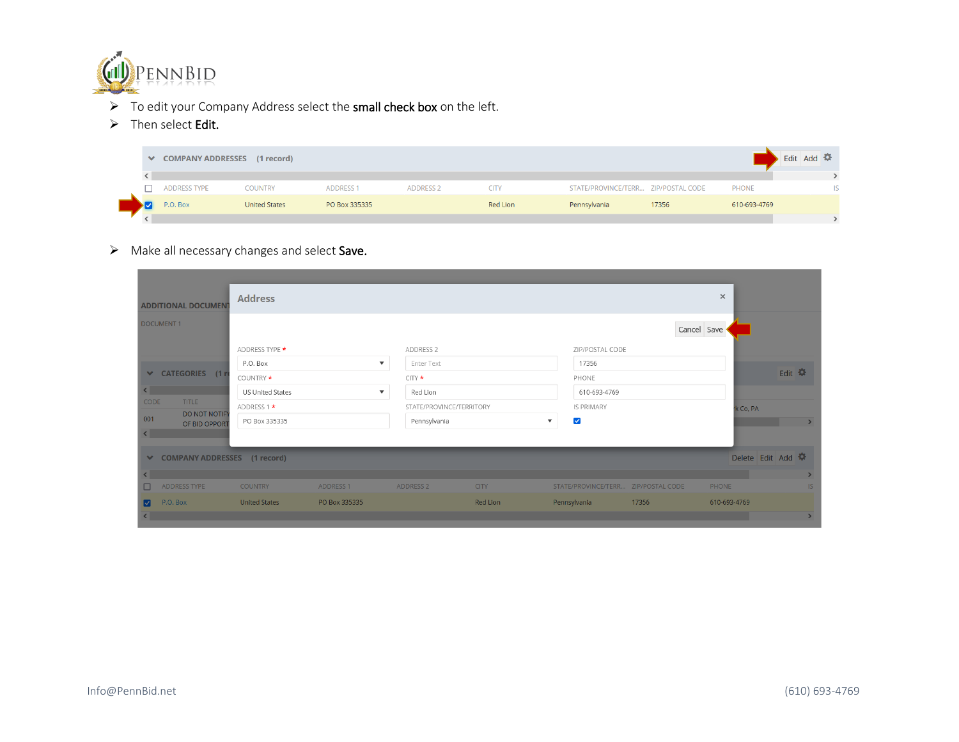

- ➢ To edit your Company Address select the small check box on the left.
- ➢ Then select Edit.

|  | ◆ COMPANY ADDRESSES (1 record) |                      |                  |                  |             |                                     |       |              |  |  |  |
|--|--------------------------------|----------------------|------------------|------------------|-------------|-------------------------------------|-------|--------------|--|--|--|
|  |                                |                      |                  |                  |             |                                     |       |              |  |  |  |
|  | <b>ADDRESS TYPE</b>            | <b>COUNTRY</b>       | <b>ADDRESS 1</b> | <b>ADDRESS 2</b> | <b>CITY</b> | STATE/PROVINCE/TERR ZIP/POSTAL CODE |       | <b>PHONE</b> |  |  |  |
|  | P.O. Box                       | <b>United States</b> | PO Box 335335    |                  | Red Lion    | Pennsylvania                        | 17356 | 610-693-4769 |  |  |  |
|  |                                |                      |                  |                  |             |                                     |       |              |  |  |  |

➢ Make all necessary changes and select Save.

| <b>ADDITIONAL DOCUMENT</b>                   | <b>Address</b>          |                         |                          |             |                                                   |       | $\times$        |               |
|----------------------------------------------|-------------------------|-------------------------|--------------------------|-------------|---------------------------------------------------|-------|-----------------|---------------|
| <b>DOCUMENT1</b>                             |                         |                         |                          |             |                                                   |       | Cancel Save     |               |
|                                              | ADDRESS TYPE *          |                         | ADDRESS 2                |             | ZIP/POSTAL CODE                                   |       |                 |               |
|                                              | P.O. Box                | $\overline{\mathbf{v}}$ | Enter Text               |             | 17356                                             |       |                 |               |
| ↓ CATEGORIES (1 m                            | COUNTRY *               |                         | $CITY$ $\star$           |             | PHONE                                             |       |                 | Edit 幸        |
| $\overline{\phantom{a}}$                     | <b>US United States</b> | $\overline{\mathbf{v}}$ | Red Lion                 |             | 610-693-4769                                      |       |                 |               |
| CODE<br><b>TITLE</b><br><b>DO NOT NOTIFY</b> | ADDRESS 1 *             |                         | STATE/PROVINCE/TERRITORY |             | <b>IS PRIMARY</b>                                 |       | k Co, PA        |               |
| 001<br>OF BID OPPORT                         | PO Box 335335           |                         | Pennsylvania             |             | $\blacktriangledown$<br>$\boldsymbol{\mathrm{v}}$ |       |                 | $\rightarrow$ |
| $\left\langle \right\rangle$                 |                         |                         |                          |             |                                                   |       |                 |               |
| <b>◇ COMPANY ADDRESSES</b> (1 record)        |                         |                         |                          |             |                                                   |       | Delete Edit Add |               |
|                                              |                         |                         |                          |             |                                                   |       |                 |               |
| $\Box$<br>ADDRESS TYPE                       | <b>COUNTRY</b>          | <b>ADDRESS 1</b>        | <b>ADDRESS 2</b>         | <b>CITY</b> | STATE/PROVINCE/TERR ZIP/POSTAL CODE               |       | PHONE           | IS            |
| P.O. Box<br>M                                | <b>United States</b>    | PO Box 335335           |                          | Red Lion    | Pennsylvania                                      | 17356 | 610-693-4769    |               |
| ₹                                            |                         |                         |                          |             |                                                   |       |                 | $\rightarrow$ |